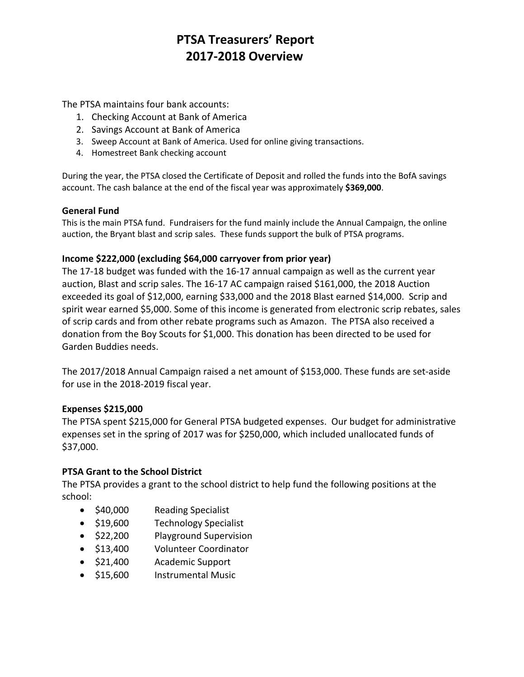The PTSA maintains four bank accounts:

- 1. Checking Account at Bank of America
- 2. Savings Account at Bank of America
- 3. Sweep Account at Bank of America. Used for online giving transactions.
- 4. Homestreet Bank checking account

During the year, the PTSA closed the Certificate of Deposit and rolled the funds into the BofA savings account. The cash balance at the end of the fiscal year was approximately **\$369,000**.

### **General Fund**

This is the main PTSA fund. Fundraisers for the fund mainly include the Annual Campaign, the online auction, the Bryant blast and scrip sales. These funds support the bulk of PTSA programs.

### **Income \$222,000 (excluding \$64,000 carryover from prior year)**

The 17-18 budget was funded with the 16-17 annual campaign as well as the current year auction, Blast and scrip sales. The 16-17 AC campaign raised \$161,000, the 2018 Auction exceeded its goal of \$12,000, earning \$33,000 and the 2018 Blast earned \$14,000. Scrip and spirit wear earned \$5,000. Some of this income is generated from electronic scrip rebates, sales of scrip cards and from other rebate programs such as Amazon. The PTSA also received a donation from the Boy Scouts for \$1,000. This donation has been directed to be used for Garden Buddies needs.

The 2017/2018 Annual Campaign raised a net amount of \$153,000. These funds are set-aside for use in the 2018-2019 fiscal year.

#### **Expenses \$215,000**

The PTSA spent \$215,000 for General PTSA budgeted expenses. Our budget for administrative expenses set in the spring of 2017 was for \$250,000, which included unallocated funds of \$37,000.

#### **PTSA Grant to the School District**

The PTSA provides a grant to the school district to help fund the following positions at the school:

- \$40,000 Reading Specialist
- \$19,600 Technology Specialist
- \$22,200 Playground Supervision
- \$13,400 Volunteer Coordinator
- \$21,400 Academic Support
- \$15,600 Instrumental Music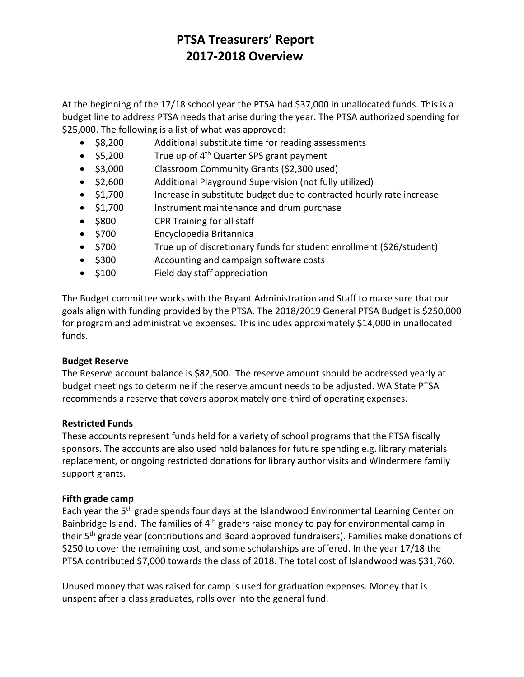At the beginning of the 17/18 school year the PTSA had \$37,000 in unallocated funds. This is a budget line to address PTSA needs that arise during the year. The PTSA authorized spending for \$25,000. The following is a list of what was approved:

- \$8,200 Additional substitute time for reading assessments
- $$5,200$  True up of 4<sup>th</sup> Quarter SPS grant payment
- \$3,000 Classroom Community Grants (\$2,300 used)
- \$2,600 Additional Playground Supervision (not fully utilized)
- \$1,700 Increase in substitute budget due to contracted hourly rate increase
- \$1,700 Instrument maintenance and drum purchase
- \$800 CPR Training for all staff
- \$700 Encyclopedia Britannica
- \$700 True up of discretionary funds for student enrollment (\$26/student)
- \$300 Accounting and campaign software costs
- \$100 Field day staff appreciation

The Budget committee works with the Bryant Administration and Staff to make sure that our goals align with funding provided by the PTSA. The 2018/2019 General PTSA Budget is \$250,000 for program and administrative expenses. This includes approximately \$14,000 in unallocated funds.

#### **Budget Reserve**

The Reserve account balance is \$82,500. The reserve amount should be addressed yearly at budget meetings to determine if the reserve amount needs to be adjusted. WA State PTSA recommends a reserve that covers approximately one-third of operating expenses.

#### **Restricted Funds**

These accounts represent funds held for a variety of school programs that the PTSA fiscally sponsors. The accounts are also used hold balances for future spending e.g. library materials replacement, or ongoing restricted donations for library author visits and Windermere family support grants.

### **Fifth grade camp**

Each year the 5<sup>th</sup> grade spends four days at the Islandwood Environmental Learning Center on Bainbridge Island. The families of  $4<sup>th</sup>$  graders raise money to pay for environmental camp in their 5<sup>th</sup> grade year (contributions and Board approved fundraisers). Families make donations of \$250 to cover the remaining cost, and some scholarships are offered. In the year 17/18 the PTSA contributed \$7,000 towards the class of 2018. The total cost of Islandwood was \$31,760.

Unused money that was raised for camp is used for graduation expenses. Money that is unspent after a class graduates, rolls over into the general fund.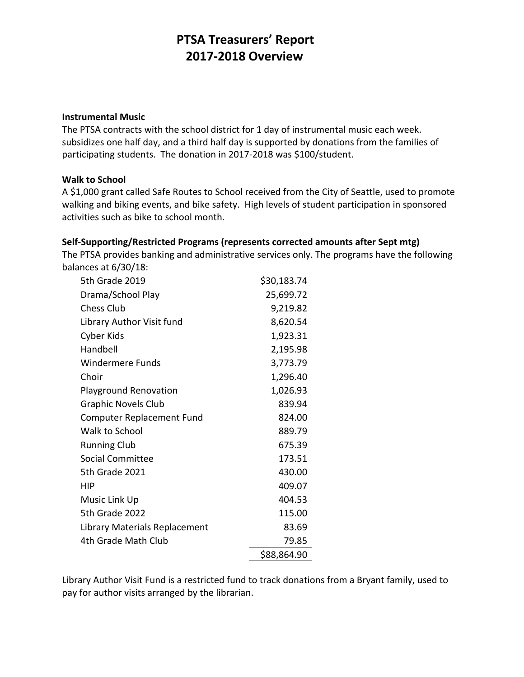#### **Instrumental Music**

The PTSA contracts with the school district for 1 day of instrumental music each week. subsidizes one half day, and a third half day is supported by donations from the families of participating students. The donation in 2017-2018 was \$100/student.

#### **Walk to School**

A \$1,000 grant called Safe Routes to School received from the City of Seattle, used to promote walking and biking events, and bike safety. High levels of student participation in sponsored activities such as bike to school month.

#### **Self-Supporting/Restricted Programs (represents corrected amounts after Sept mtg)**

The PTSA provides banking and administrative services only. The programs have the following balances at 6/30/18:

| 5th Grade 2019                   | \$30,183.74 |
|----------------------------------|-------------|
| Drama/School Play                | 25,699.72   |
| <b>Chess Club</b>                | 9,219.82    |
| Library Author Visit fund        | 8,620.54    |
| Cyber Kids                       | 1,923.31    |
| Handbell                         | 2,195.98    |
| <b>Windermere Funds</b>          | 3,773.79    |
| Choir                            | 1,296.40    |
| <b>Playground Renovation</b>     | 1,026.93    |
| <b>Graphic Novels Club</b>       | 839.94      |
| <b>Computer Replacement Fund</b> | 824.00      |
| Walk to School                   | 889.79      |
| <b>Running Club</b>              | 675.39      |
| Social Committee                 | 173.51      |
| 5th Grade 2021                   | 430.00      |
| HIP                              | 409.07      |
| Music Link Up                    | 404.53      |
| 5th Grade 2022                   | 115.00      |
| Library Materials Replacement    | 83.69       |
| 4th Grade Math Club              | 79.85       |
|                                  | \$88,864.90 |

Library Author Visit Fund is a restricted fund to track donations from a Bryant family, used to pay for author visits arranged by the librarian.